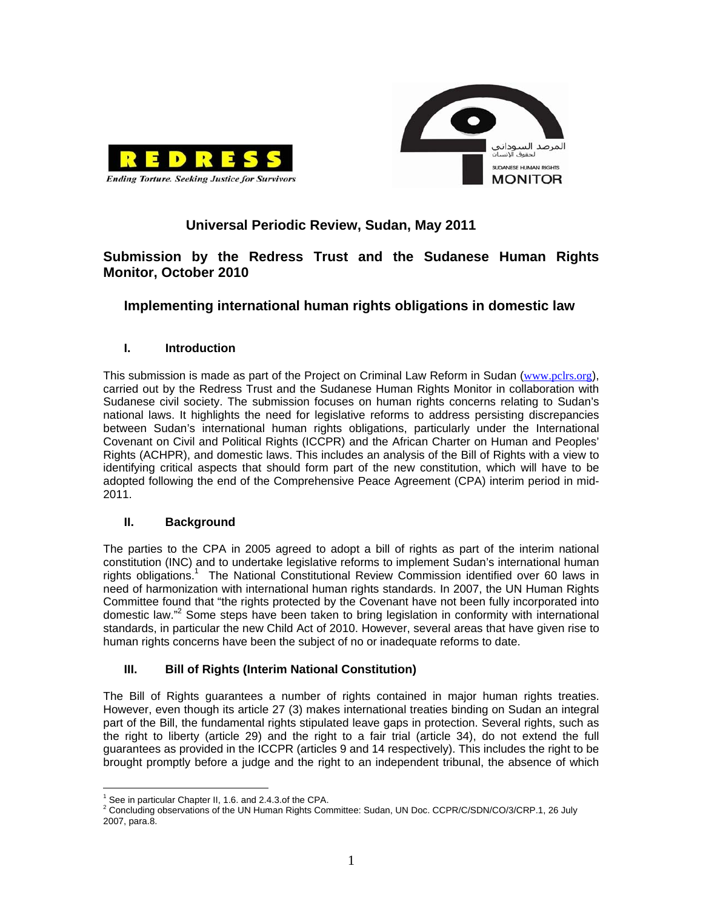



# **Universal Periodic Review, Sudan, May 2011**

# **Submission by the Redress Trust and the Sudanese Human Rights Monitor, October 2010**

# **Implementing international human rights obligations in domestic law**

## **I. Introduction**

This submission is made as part of the Project on Criminal Law Reform in Sudan (www.pclrs.org), carried out by the Redress Trust and the Sudanese Human Rights Monitor in collaboration with Sudanese civil society. The submission focuses on human rights concerns relating to Sudan's national laws. It highlights the need for legislative reforms to address persisting discrepancies between Sudan's international human rights obligations, particularly under the International Covenant on Civil and Political Rights (ICCPR) and the African Charter on Human and Peoples' Rights (ACHPR), and domestic laws. This includes an analysis of the Bill of Rights with a view to identifying critical aspects that should form part of the new constitution, which will have to be adopted following the end of the Comprehensive Peace Agreement (CPA) interim period in mid-2011.

### **II. Background**

The parties to the CPA in 2005 agreed to adopt a bill of rights as part of the interim national constitution (INC) and to undertake legislative reforms to implement Sudan's international human rights obligations.<sup>1</sup> The National Constitutional Review Commission identified over 60 laws in need of harmonization with international human rights standards. In 2007, the UN Human Rights Committee found that "the rights protected by the Covenant have not been fully incorporated into domestic law."<sup>2</sup> Some steps have been taken to bring legislation in conformity with international standards, in particular the new Child Act of 2010. However, several areas that have given rise to human rights concerns have been the subject of no or inadequate reforms to date.

# **III. Bill of Rights (Interim National Constitution)**

The Bill of Rights guarantees a number of rights contained in major human rights treaties. However, even though its article 27 (3) makes international treaties binding on Sudan an integral part of the Bill, the fundamental rights stipulated leave gaps in protection. Several rights, such as the right to liberty (article 29) and the right to a fair trial (article 34), do not extend the full guarantees as provided in the ICCPR (articles 9 and 14 respectively). This includes the right to be brought promptly before a judge and the right to an independent tribunal, the absence of which

 $\overline{a}$ <sup>1</sup> See in particular Chapter II, 1.6. and 2.4.3.of the CPA.

<sup>&</sup>lt;sup>2</sup> Concluding observations of the UN Human Rights Committee: Sudan, UN Doc. CCPR/C/SDN/CO/3/CRP.1, 26 July 2007, para.8.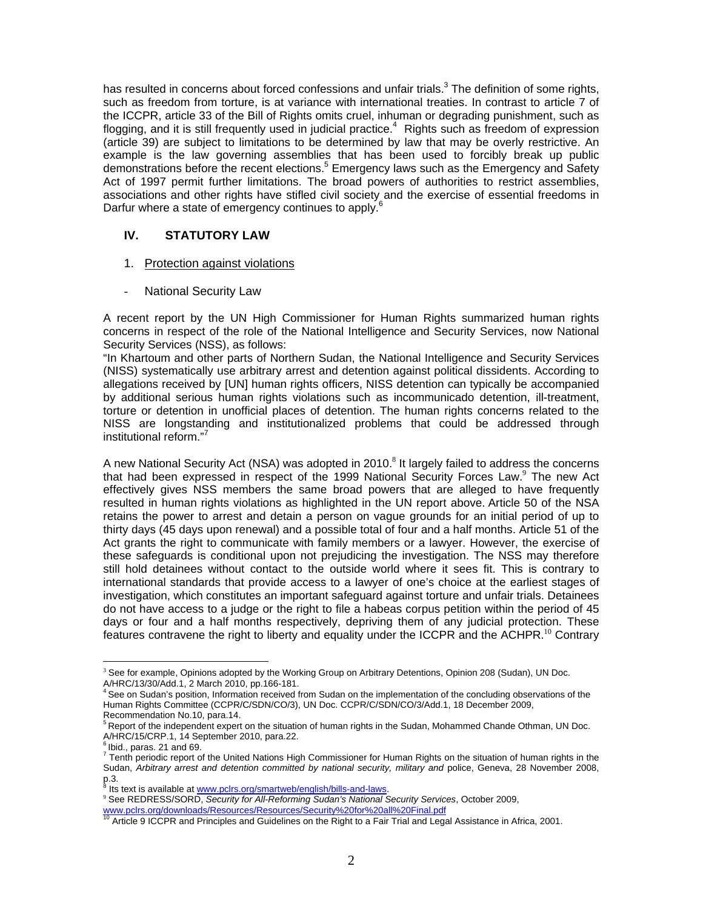has resulted in concerns about forced confessions and unfair trials. $^3$  The definition of some rights, such as freedom from torture, is at variance with international treaties. In contrast to article 7 of the ICCPR, article 33 of the Bill of Rights omits cruel, inhuman or degrading punishment, such as flogging, and it is still frequently used in judicial practice.<sup>4</sup> Rights such as freedom of expression (article 39) are subject to limitations to be determined by law that may be overly restrictive. An example is the law governing assemblies that has been used to forcibly break up public demonstrations before the recent elections.<sup>5</sup> Emergency laws such as the Emergency and Safety Act of 1997 permit further limitations. The broad powers of authorities to restrict assemblies, associations and other rights have stifled civil society and the exercise of essential freedoms in Darfur where a state of emergency continues to apply.<sup>6</sup>

## **IV. STATUTORY LAW**

- 1. Protection against violations
- **National Security Law**

A recent report by the UN High Commissioner for Human Rights summarized human rights concerns in respect of the role of the National Intelligence and Security Services, now National Security Services (NSS), as follows:

"In Khartoum and other parts of Northern Sudan, the National Intelligence and Security Services (NISS) systematically use arbitrary arrest and detention against political dissidents. According to allegations received by [UN] human rights officers, NISS detention can typically be accompanied by additional serious human rights violations such as incommunicado detention, ill-treatment, torture or detention in unofficial places of detention. The human rights concerns related to the NISS are longstanding and institutionalized problems that could be addressed through institutional reform."<sup>7</sup>

A new National Security Act (NSA) was adopted in 2010. $8$  It largely failed to address the concerns that had been expressed in respect of the 1999 National Security Forces Law.<sup>9</sup> The new Act effectively gives NSS members the same broad powers that are alleged to have frequently resulted in human rights violations as highlighted in the UN report above. Article 50 of the NSA retains the power to arrest and detain a person on vague grounds for an initial period of up to thirty days (45 days upon renewal) and a possible total of four and a half months. Article 51 of the Act grants the right to communicate with family members or a lawyer. However, the exercise of these safeguards is conditional upon not prejudicing the investigation. The NSS may therefore still hold detainees without contact to the outside world where it sees fit. This is contrary to international standards that provide access to a lawyer of one's choice at the earliest stages of investigation, which constitutes an important safeguard against torture and unfair trials. Detainees do not have access to a judge or the right to file a habeas corpus petition within the period of 45 days or four and a half months respectively, depriving them of any judicial protection. These features contravene the right to liberty and equality under the ICCPR and the ACHPR.<sup>10</sup> Contrary

 $\overline{a}$ <sup>3</sup> See for example, Opinions adopted by the Working Group on Arbitrary Detentions, Opinion 208 (Sudan), UN Doc.

A/HRC/13/30/Add.1, 2 March 2010, pp.166-181.<br><sup>4</sup> See on Sudan's position, Information received from Sudan on the implementation of the concluding observations of the Human Rights Committee (CCPR/C/SDN/CO/3), UN Doc. CCPR/C/SDN/CO/3/Add.1, 18 December 2009, Recommendation No.10, para.14.

<sup>5</sup> Report of the independent expert on the situation of human rights in the Sudan, Mohammed Chande Othman, UN Doc. A/HRC/15/CRP.1, 14 September 2010, para.22.

<sup>6</sup> Ibid., paras. 21 and 69.

 $^7$  Tenth periodic report of the United Nations High Commissioner for Human Rights on the situation of human rights in the Sudan, *Arbitrary arrest and detention committed by national security, military and police, Geneva, 28 November 2008,*  $p.3.8.81$ 

Its text is available at www.pclrs.org/smartweb/english/bills-and-laws.

<sup>9</sup> See REDRESS/SORD, *Security for All-Reforming Sudan's National Security Services*, October 2009,

www.pclrs.org/downloads/Resources/Resources/Security%20for%20all%20Final.pdf<br><sup>10</sup> Article 9 ICCPR and Principles and Guidelines on the Right to a Fair Trial and Legal Assistance in Africa, 2001.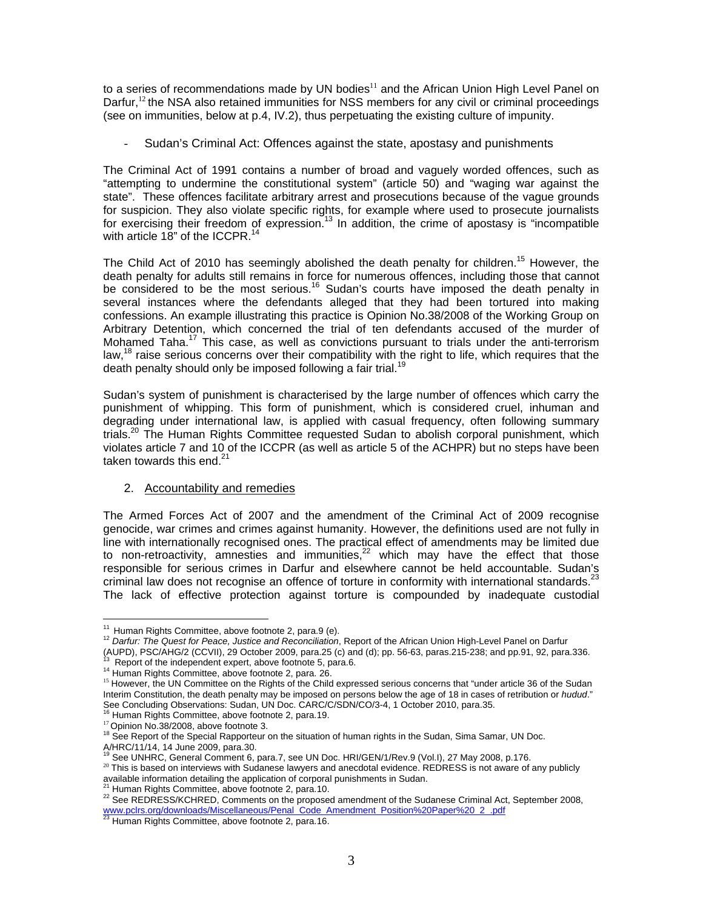to a series of recommendations made by UN bodies $^{11}$  and the African Union High Level Panel on Darfur,<sup>12</sup> the NSA also retained immunities for NSS members for any civil or criminal proceedings (see on immunities, below at p.4, IV.2), thus perpetuating the existing culture of impunity.

- Sudan's Criminal Act: Offences against the state, apostasy and punishments

The Criminal Act of 1991 contains a number of broad and vaguely worded offences, such as "attempting to undermine the constitutional system" (article 50) and "waging war against the state". These offences facilitate arbitrary arrest and prosecutions because of the vague grounds for suspicion. They also violate specific rights, for example where used to prosecute journalists for exercising their freedom of expression.<sup>13</sup> In addition, the crime of apostasy is "incompatible with article  $18"$  of the ICCPR.<sup>14</sup>

The Child Act of 2010 has seemingly abolished the death penalty for children.<sup>15</sup> However, the death penalty for adults still remains in force for numerous offences, including those that cannot be considered to be the most serious.<sup>16</sup> Sudan's courts have imposed the death penalty in several instances where the defendants alleged that they had been tortured into making confessions. An example illustrating this practice is Opinion No.38/2008 of the Working Group on Arbitrary Detention, which concerned the trial of ten defendants accused of the murder of Mohamed Taha.<sup>17</sup> This case, as well as convictions pursuant to trials under the anti-terrorism law,<sup>18</sup> raise serious concerns over their compatibility with the right to life, which requires that the death penalty should only be imposed following a fair trial.<sup>19</sup>

Sudan's system of punishment is characterised by the large number of offences which carry the punishment of whipping. This form of punishment, which is considered cruel, inhuman and degrading under international law, is applied with casual frequency, often following summary trials.<sup>20</sup> The Human Rights Committee requested Sudan to abolish corporal punishment, which violates article 7 and 10 of the ICCPR (as well as article 5 of the ACHPR) but no steps have been taken towards this end.<sup>21</sup>

#### 2. Accountability and remedies

The Armed Forces Act of 2007 and the amendment of the Criminal Act of 2009 recognise genocide, war crimes and crimes against humanity. However, the definitions used are not fully in line with internationally recognised ones. The practical effect of amendments may be limited due to non-retroactivity, amnesties and immunities,<sup>22</sup> which may have the effect that those responsible for serious crimes in Darfur and elsewhere cannot be held accountable. Sudan's criminal law does not recognise an offence of torture in conformity with international standards.<sup>23</sup> The lack of effective protection against torture is compounded by inadequate custodial

<sup>21</sup> Human Rights Committee, above footnote 2, para.10.<br><sup>22</sup> See REDRESS/KCHRED, Comments on the proposed amendment of the Sudanese Criminal Act, September 2008, www.pclrs.org/downloads/Miscellaneous/Penal\_Code\_Amendment\_Position%20Paper%20\_2\_.pdf<br><sup>23</sup> Human Rights Committee, above footnote 2, para.16.

<sup>&</sup>lt;sup>11</sup> Human Rights Committee, above footnote 2, para.9 (e).

<sup>&</sup>lt;sup>12</sup> Darfur: The Quest for Peace, Justice and Reconciliation, Report of the African Union High-Level Panel on Darfur

<sup>(</sup>AUPD), PSC/AHG/2 (CCVII), 29 October 2009, para.25 (c) and (d); pp. 56-63, paras.215-238; and pp.91, 92, para.336.<br><sup>13</sup> Report of the independent expert, above footnote 5, para.6.

<sup>&</sup>lt;sup>14</sup> Human Rights Committee, above footnote 2, para. 26.

<sup>&</sup>lt;sup>15</sup> However, the UN Committee on the Rights of the Child expressed serious concerns that "under article 36 of the Sudan Interim Constitution, the death penalty may be imposed on persons below the age of 18 in cases of retribution or *hudud*." See Concluding Observations: Sudan, UN Doc. CARC/C/SDN/CO/3-4, 1 October 2010, para.35.<br><sup>16</sup> Human Rights Committee, above footnote 2, para.19.<br><sup>17</sup> Opinion No.38/2008, above footnote 3.

<sup>&</sup>lt;sup>18</sup> See Report of the Special Rapporteur on the situation of human rights in the Sudan, Sima Samar, UN Doc.

A/HRC/11/14, 14 June 2009, para.30.<br><sup>19</sup> See UNHRC, General Comment 6, para.7, see UN Doc. HRI/GEN/1/Rev.9 (Vol.I), 27 May 2008, p.176.

<sup>20</sup> Doc C. C. This is based on interviews with Sudanese lawyers and anecdotal evidence. REDRESS is not aware of any publicly available information detailing the application of corporal punishments in Sudan.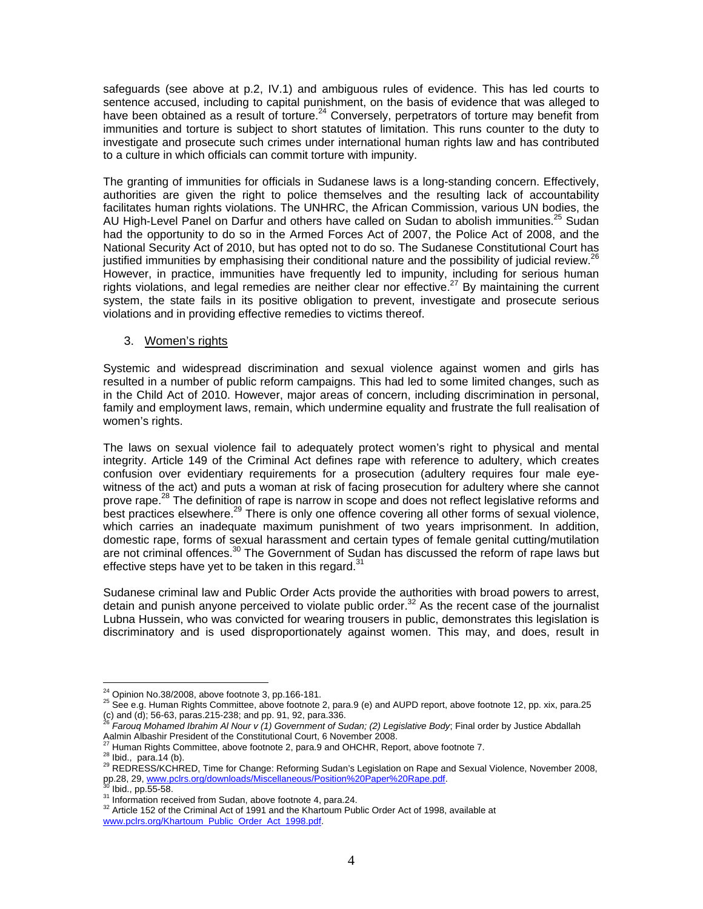safeguards (see above at p.2, IV.1) and ambiguous rules of evidence. This has led courts to sentence accused, including to capital punishment, on the basis of evidence that was alleged to have been obtained as a result of torture.<sup>24</sup> Conversely, perpetrators of torture may benefit from immunities and torture is subject to short statutes of limitation. This runs counter to the duty to investigate and prosecute such crimes under international human rights law and has contributed to a culture in which officials can commit torture with impunity.

The granting of immunities for officials in Sudanese laws is a long-standing concern. Effectively, authorities are given the right to police themselves and the resulting lack of accountability facilitates human rights violations. The UNHRC, the African Commission, various UN bodies, the AU High-Level Panel on Darfur and others have called on Sudan to abolish immunities.<sup>25</sup> Sudan had the opportunity to do so in the Armed Forces Act of 2007, the Police Act of 2008, and the National Security Act of 2010, but has opted not to do so. The Sudanese Constitutional Court has justified immunities by emphasising their conditional nature and the possibility of judicial review.<sup>26</sup> However, in practice, immunities have frequently led to impunity, including for serious human rights violations, and legal remedies are neither clear nor effective.<sup>27</sup> By maintaining the current system, the state fails in its positive obligation to prevent, investigate and prosecute serious violations and in providing effective remedies to victims thereof.

### 3. Women's rights

Systemic and widespread discrimination and sexual violence against women and girls has resulted in a number of public reform campaigns. This had led to some limited changes, such as in the Child Act of 2010. However, major areas of concern, including discrimination in personal, family and employment laws, remain, which undermine equality and frustrate the full realisation of women's rights.

The laws on sexual violence fail to adequately protect women's right to physical and mental integrity. Article 149 of the Criminal Act defines rape with reference to adultery, which creates confusion over evidentiary requirements for a prosecution (adultery requires four male eyewitness of the act) and puts a woman at risk of facing prosecution for adultery where she cannot prove rape.<sup>28</sup> The definition of rape is narrow in scope and does not reflect legislative reforms and best practices elsewhere.<sup>29</sup> There is only one offence covering all other forms of sexual violence, which carries an inadequate maximum punishment of two years imprisonment. In addition, domestic rape, forms of sexual harassment and certain types of female genital cutting/mutilation are not criminal offences.<sup>30</sup> The Government of Sudan has discussed the reform of rape laws but effective steps have yet to be taken in this regard. $31$ 

Sudanese criminal law and Public Order Acts provide the authorities with broad powers to arrest, detain and punish anyone perceived to violate public order.<sup>32</sup> As the recent case of the journalist Lubna Hussein, who was convicted for wearing trousers in public, demonstrates this legislation is discriminatory and is used disproportionately against women. This may, and does, result in

 $^{24}$  Opinion No.38/2008, above footnote 3, pp.166-181.

<sup>&</sup>lt;sup>25</sup> See e.g. Human Rights Committee, above footnote 2, para.9 (e) and AUPD report, above footnote 12, pp. xix, para.25 (c) and (d); 56-63, paras.215-238; and pp. 91, 92, para.336. <sup>26</sup> *Farouq Mohamed Ibrahim Al Nour v (1) Government of Sudan; (2) Legislative Body*; Final order by Justice Abdallah

Aalmin Albashir President of the Constitutional Court, 6 November 2008.<br><sup>27</sup> Human Rights Committee, above footnote 2, para.9 and OHCHR, Report, above footnote 7.<br><sup>28</sup> Ibid., para.14 (b).<br><sup>29</sup> REDRESS/KCHRED, Time for Cha

pp.28, 29, <u>www.pclrs.org/downloads/Miscellaneous/Position%20Paper%20Rape.pdf</u>.<br><sup>30</sup> Ibid., pp.55-58.<br><sup>31</sup> Information received from Sudan, above footnote 4, para.24.<br><sup>32</sup> Article 152 of the Criminal Act of 1991 and the Kh www.pclrs.org/Khartoum\_Public\_Order\_Act\_1998.pdf.